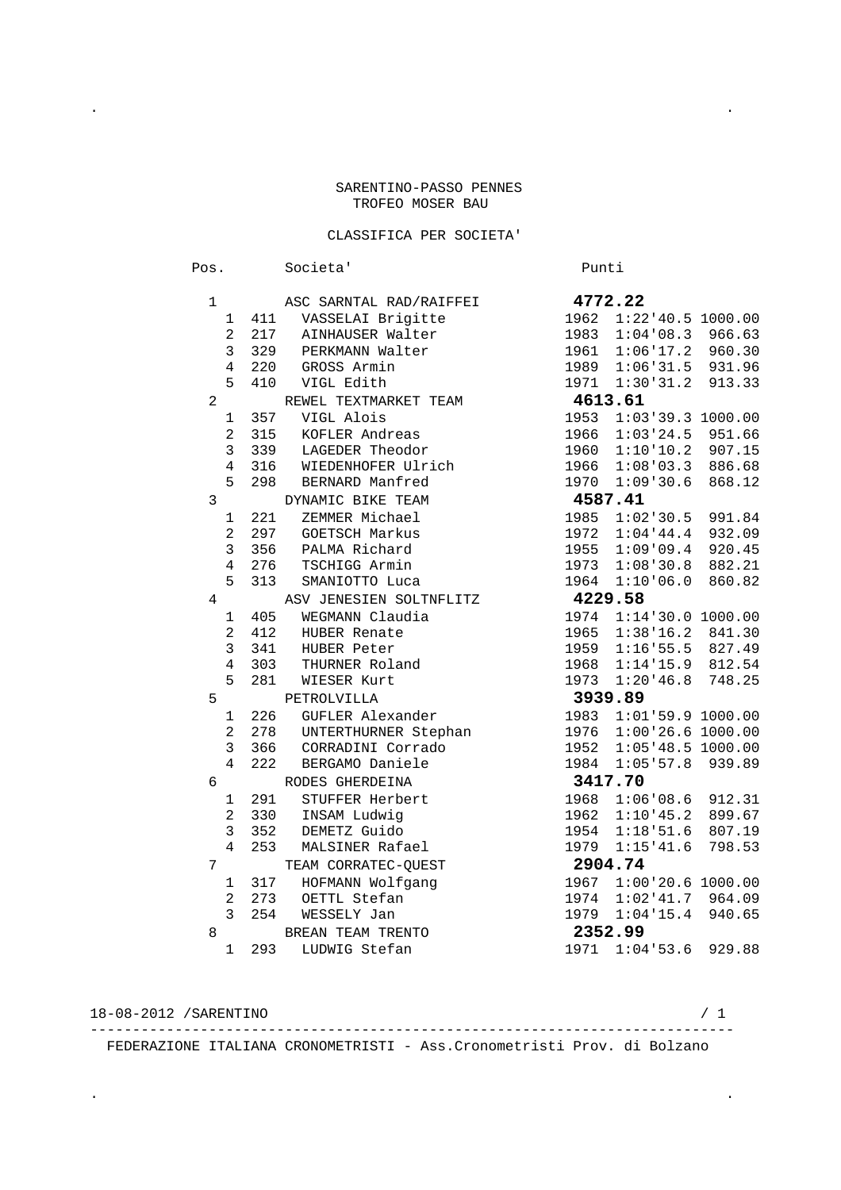## SARENTINO-PASSO PENNES TROFEO MOSER BAU

## CLASSIFICA PER SOCIETA'

. .

| Pos.           |                       | Societa'                                  |      | Punti                      |        |
|----------------|-----------------------|-------------------------------------------|------|----------------------------|--------|
| 1              |                       | ASC SARNTAL RAD/RAIFFEI 4772.22           |      |                            |        |
|                | 1<br>411              | VASSELAI Brigitte                         | 1962 | $1:22:40.5$ 1000.00        |        |
|                | $\overline{a}$<br>217 | AINHAUSER Walter                          | 1983 | 1:04:08.3                  | 966.63 |
|                | 3<br>329              | PERKMANN Walter                           | 1961 | $1:06'17.2$ 960.30         |        |
|                | 4<br>220              | GROSS Armin                               |      | 1989 1:06'31.5 931.96      |        |
|                | 5<br>410              | VIGL Edith                                |      | 1971 1:30 31.2 913.33      |        |
| $\overline{a}$ |                       | REWEL TEXTMARKET TEAM                     |      | 4613.61                    |        |
|                | 357<br>1              | VIGL Alois                                | 1953 | $1:03:39.3$ 1000.00        |        |
|                | $\overline{a}$<br>315 | KOFLER Andreas                            | 1966 | 1:03:24.5                  | 951.66 |
|                | 3<br>339              | LAGEDER Theodor                           | 1960 | 1:10:10.2                  | 907.15 |
|                | $\overline{4}$<br>316 | WIEDENHOFER Ulrich                        | 1966 | $1:08:03.3$ 886.68         |        |
|                | 5<br>298              | BERNARD Manfred                           |      | 1970 1:09 30.6             | 868.12 |
| 3              |                       | DYNAMIC BIKE TEAM                         |      | 4587.41                    |        |
|                | 221<br>1              | ZEMMER Michael                            | 1985 | 1:02:30.5                  | 991.84 |
|                | $\overline{a}$<br>297 | <b>GOETSCH Markus</b>                     | 1972 | 1:04:44.4                  | 932.09 |
|                | 3<br>356              | PALMA Richard                             | 1955 | 1:09:09.4                  | 920.45 |
|                | $\overline{4}$<br>276 | TSCHIGG Armin                             | 1973 | 1:08:30.8                  | 882.21 |
|                | 5<br>313              | SMANIOTTO Luca                            |      | 1964 1:10'06.0             | 860.82 |
| 4              |                       | ASV JENESIEN SOLTNFLITZ                   |      | 4229.58                    |        |
|                | 405<br>1              | WEGMANN Claudia                           | 1974 | 1:14:30.0 1000.00          |        |
|                | 2<br>412              | HUBER Renate                              | 1965 | $1:38'16.2$ 841.30         |        |
|                | 3<br>341              | HUBER Peter                               | 1959 | $1:16:55.5$ 827.49         |        |
|                | $\overline{4}$<br>303 | THURNER Roland<br>----- <i>v</i> urt      | 1968 | $1:14'15.9$ 812.54         |        |
|                | 5<br>281              |                                           | 1973 | 1:20:46.8                  | 748.25 |
| 5              |                       | PETROLVILLA                               |      | 3939.89                    |        |
|                | 226<br>1              | GUFLER Alexander                          |      | 1983 1:01'59.9 1000.00     |        |
|                | $\overline{a}$<br>278 | UNTERTHURNER Stephan<br>CORRADINI Corrado |      | 1976 1:00 26.6 1000.00     |        |
|                | 3<br>366              |                                           |      | 1952 1:05'48.5 1000.00     |        |
|                | $\overline{4}$<br>222 | BERGAMO Daniele                           | 1984 | 1:05:57.8                  | 939.89 |
| 6              |                       | RODES GHERDEINA                           |      | 3417.70                    |        |
|                | 291<br>1              | STUFFER Herbert                           | 1968 | $1:06:08.6$ 912.31         |        |
|                | $\overline{2}$<br>330 | INSAM Ludwig                              | 1962 | $1:10:45.2$ 899.67         |        |
|                | 3<br>352              | DEMETZ Guido                              |      | 1954 1:18 51.6             | 807.19 |
|                | $\overline{4}$<br>253 | MALSINER Rafael                           | 1979 | 1:15'41.6                  | 798.53 |
| 7              |                       | TEAM CORRATEC-QUEST                       |      | 2904.74                    |        |
|                | 317<br>$\mathbf 1$    | HOFMANN Wolfgang                          |      | 1967 1:00 20.6 1000.00     |        |
|                | $\overline{a}$<br>273 | OETTL Stefan                              |      | 1974 1:02 41.7 964.09      |        |
|                | 3<br>254              | WESSELY Jan                               |      | 1979 1:04'15.4 940.65      |        |
| 8              |                       | BREAN TEAM TRENTO                         |      | 2352.99                    |        |
|                | 293<br>1              | LUDWIG Stefan                             |      | 1971<br>$1:04:53.6$ 929.88 |        |

 18-08-2012 /SARENTINO / 1 ---------------------------------------------------------------------------- FEDERAZIONE ITALIANA CRONOMETRISTI - Ass.Cronometristi Prov. di Bolzano

. .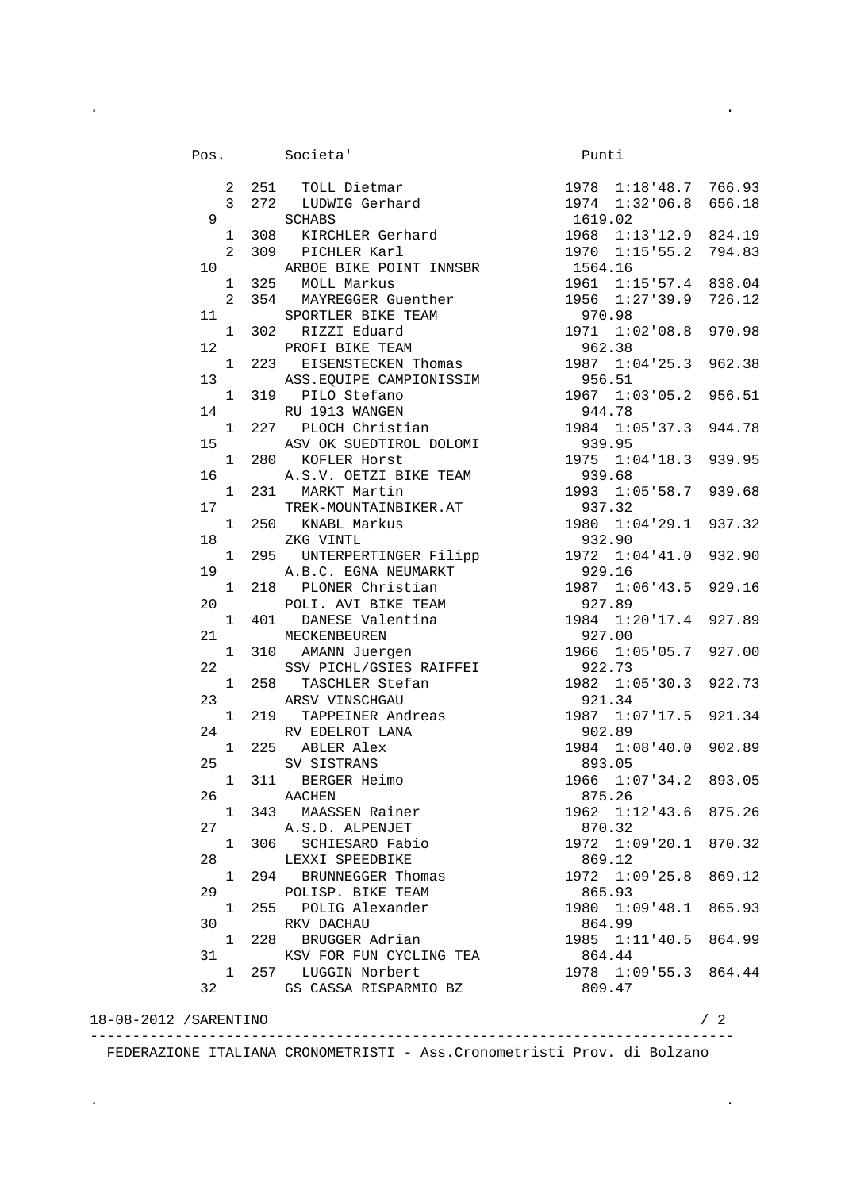|                        | Societa<br>2 251 TOLL Dietmar<br>3 272 LUDWIG Gerhard<br>5 CHABS<br>1 2020 CHABS<br>1 2020 CHABS<br>1 2020 CHABS<br>1 2020 CHABS<br>1 2020 CHABS<br>1 2020 CHABS<br>1 2020 CHABS<br>1 2020 CHABS<br>1 2020 CHABS<br>1 2020 CHABS<br>1 2020 CHABS<br>1 2020 C<br>Pos. Societa' |                       |    |
|------------------------|-------------------------------------------------------------------------------------------------------------------------------------------------------------------------------------------------------------------------------------------------------------------------------|-----------------------|----|
|                        |                                                                                                                                                                                                                                                                               |                       |    |
|                        |                                                                                                                                                                                                                                                                               |                       |    |
| 9                      |                                                                                                                                                                                                                                                                               |                       |    |
|                        |                                                                                                                                                                                                                                                                               |                       |    |
|                        |                                                                                                                                                                                                                                                                               |                       |    |
|                        |                                                                                                                                                                                                                                                                               |                       |    |
|                        |                                                                                                                                                                                                                                                                               |                       |    |
|                        |                                                                                                                                                                                                                                                                               |                       |    |
|                        |                                                                                                                                                                                                                                                                               |                       |    |
|                        |                                                                                                                                                                                                                                                                               |                       |    |
|                        |                                                                                                                                                                                                                                                                               |                       |    |
|                        |                                                                                                                                                                                                                                                                               |                       |    |
|                        |                                                                                                                                                                                                                                                                               |                       |    |
|                        |                                                                                                                                                                                                                                                                               |                       |    |
|                        |                                                                                                                                                                                                                                                                               |                       |    |
|                        |                                                                                                                                                                                                                                                                               |                       |    |
|                        |                                                                                                                                                                                                                                                                               |                       |    |
|                        |                                                                                                                                                                                                                                                                               |                       |    |
|                        |                                                                                                                                                                                                                                                                               |                       |    |
|                        |                                                                                                                                                                                                                                                                               |                       |    |
|                        |                                                                                                                                                                                                                                                                               |                       |    |
|                        |                                                                                                                                                                                                                                                                               |                       |    |
|                        |                                                                                                                                                                                                                                                                               |                       |    |
|                        |                                                                                                                                                                                                                                                                               |                       |    |
|                        |                                                                                                                                                                                                                                                                               |                       |    |
|                        |                                                                                                                                                                                                                                                                               |                       |    |
|                        |                                                                                                                                                                                                                                                                               |                       |    |
|                        |                                                                                                                                                                                                                                                                               |                       |    |
|                        |                                                                                                                                                                                                                                                                               |                       |    |
|                        |                                                                                                                                                                                                                                                                               |                       |    |
|                        |                                                                                                                                                                                                                                                                               |                       |    |
|                        |                                                                                                                                                                                                                                                                               |                       |    |
|                        |                                                                                                                                                                                                                                                                               |                       |    |
|                        |                                                                                                                                                                                                                                                                               |                       |    |
|                        |                                                                                                                                                                                                                                                                               |                       |    |
|                        |                                                                                                                                                                                                                                                                               |                       |    |
|                        | 311 BERGER Heimo                                                                                                                                                                                                                                                              | 1966 1:07 34.2 893.05 |    |
| $\mathbf{1}$<br>26 —   | AACHEN                                                                                                                                                                                                                                                                        | 875.26                |    |
|                        | 1 343 MAASSEN Rainer                                                                                                                                                                                                                                                          | 1962 1:12'43.6 875.26 |    |
|                        | 27 A.S.D. ALPENJET                                                                                                                                                                                                                                                            | 870.32                |    |
|                        | 1 306 SCHIESARO Fabio                                                                                                                                                                                                                                                         | 1972 1:09 20.1 870.32 |    |
| 28                     | LEXXI SPEEDBIKE                                                                                                                                                                                                                                                               | 869.12                |    |
| $\mathbf{1}$           | 294 BRUNNEGGER Thomas                                                                                                                                                                                                                                                         | 1972 1:09 25.8 869.12 |    |
| 29                     | POLISP. BIKE TEAM                                                                                                                                                                                                                                                             | 865.93                |    |
| 1                      | 255 POLIG Alexander                                                                                                                                                                                                                                                           | 1980 1:09'48.1 865.93 |    |
| 30 <sup>7</sup>        | RKV DACHAU                                                                                                                                                                                                                                                                    | 864.99                |    |
|                        | 1 228 BRUGGER Adrian                                                                                                                                                                                                                                                          | 1985 1:11'40.5 864.99 |    |
| 31                     | KSV FOR FUN CYCLING TEA                                                                                                                                                                                                                                                       | 864.44                |    |
|                        | 1 257 LUGGIN Norbert                                                                                                                                                                                                                                                          | 1978 1:09 55.3 864.44 |    |
|                        | 32 GS CASSA RISPARMIO BZ                                                                                                                                                                                                                                                      | 809.47                |    |
|                        |                                                                                                                                                                                                                                                                               |                       |    |
| 18-08-2012 / SARENTINO |                                                                                                                                                                                                                                                                               |                       | /2 |

. .

 ---------------------------------------------------------------------------- FEDERAZIONE ITALIANA CRONOMETRISTI - Ass.Cronometristi Prov. di Bolzano

. .